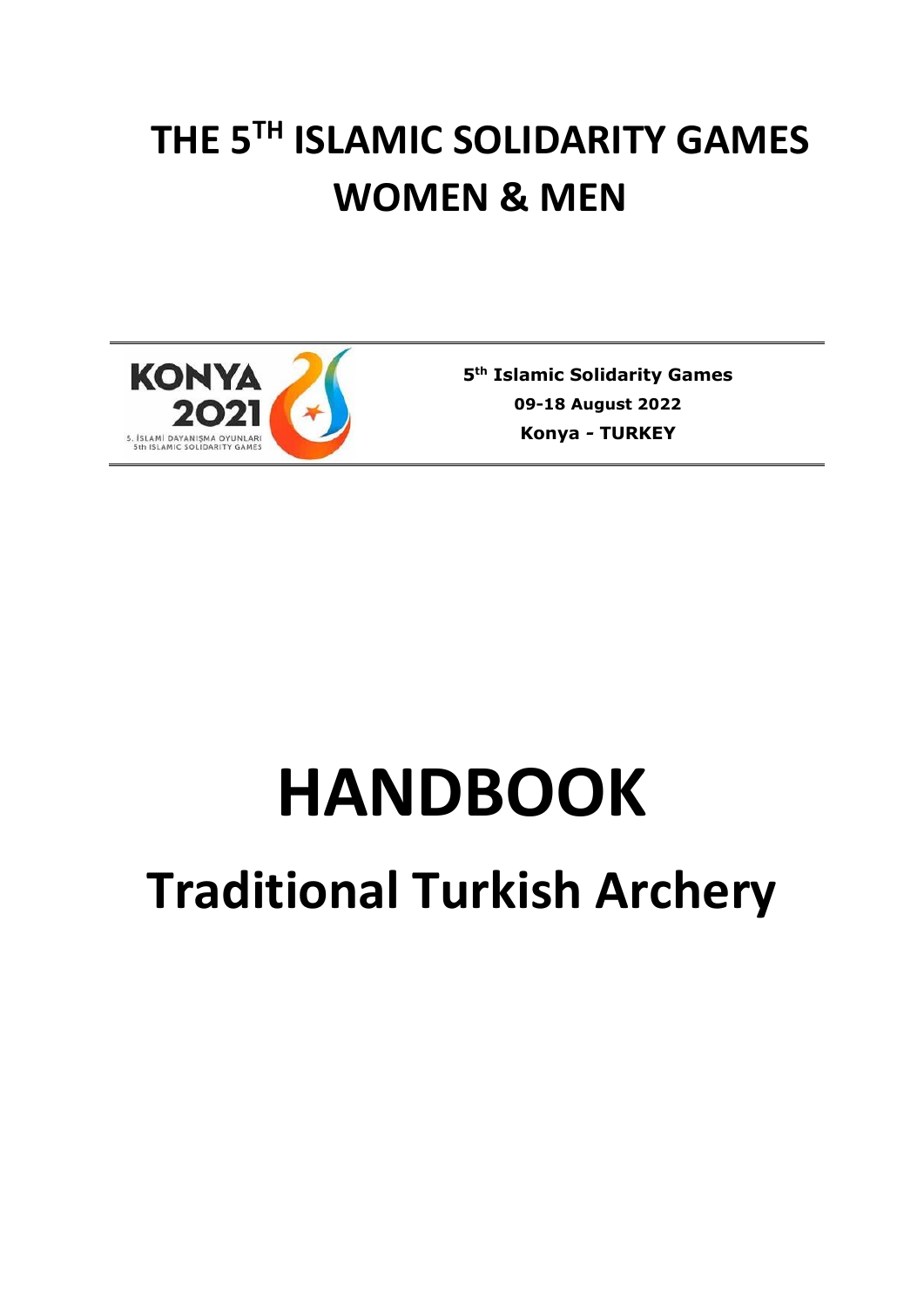## **THE 5TH ISLAMIC SOLIDARITY GAMES WOMEN & MEN**



**5 th Islamic Solidarity Games 09-18 August 2022 Konya** *-* **TURKEY**

# **HANDBOOK**

## **Traditional Turkish Archery**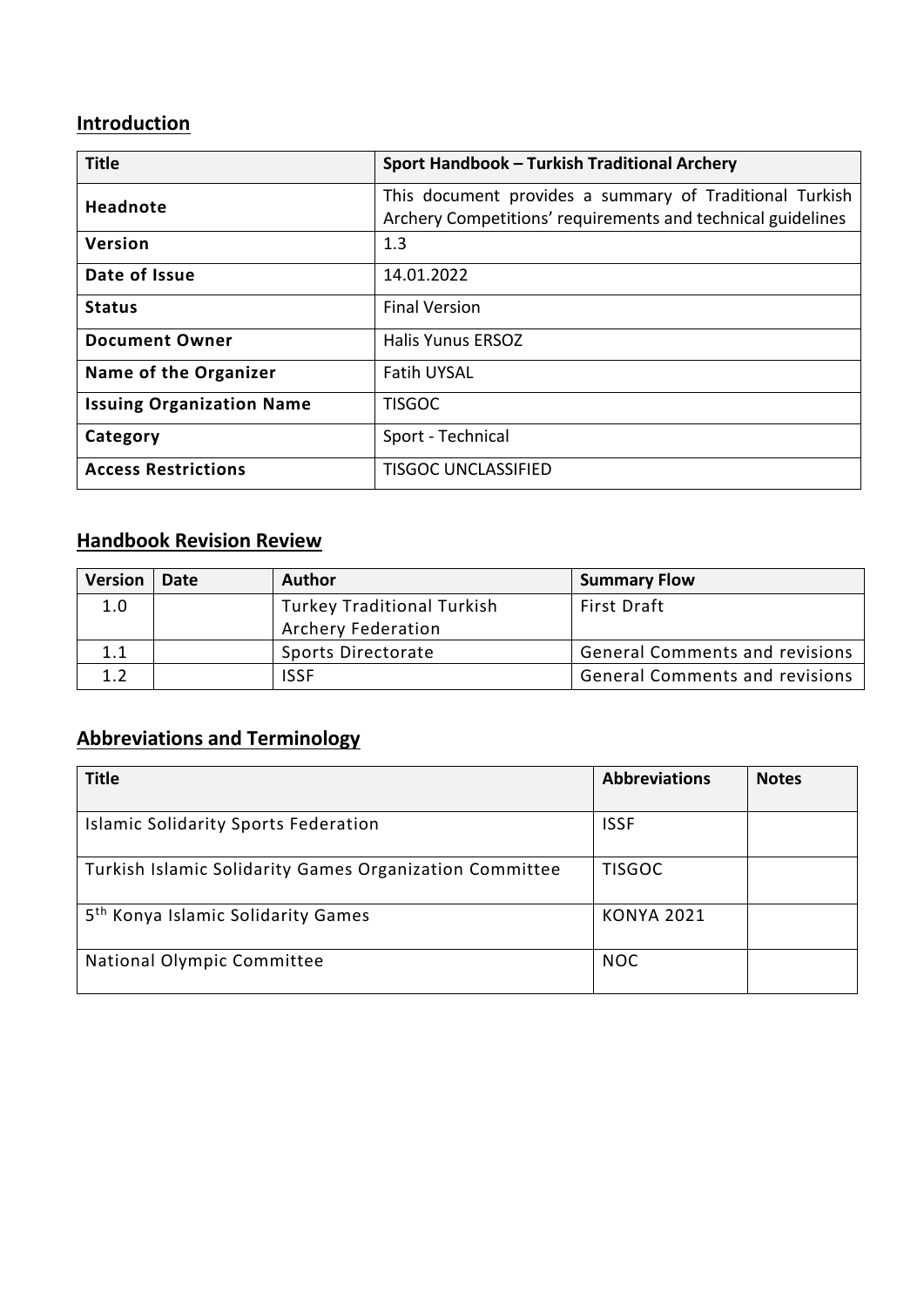### **Introduction**

| <b>Title</b>                     | Sport Handbook - Turkish Traditional Archery                                                                           |
|----------------------------------|------------------------------------------------------------------------------------------------------------------------|
| Headnote                         | This document provides a summary of Traditional Turkish<br>Archery Competitions' requirements and technical guidelines |
| Version                          | 1.3                                                                                                                    |
| Date of Issue                    | 14.01.2022                                                                                                             |
| <b>Status</b>                    | <b>Final Version</b>                                                                                                   |
| <b>Document Owner</b>            | <b>Halis Yunus ERSOZ</b>                                                                                               |
| Name of the Organizer            | <b>Fatih UYSAL</b>                                                                                                     |
| <b>Issuing Organization Name</b> | <b>TISGOC</b>                                                                                                          |
| Category                         | Sport - Technical                                                                                                      |
| <b>Access Restrictions</b>       | <b>TISGOC UNCLASSIFIED</b>                                                                                             |

## **Handbook Revision Review**

| <b>Version</b> | <b>Date</b> | <b>Author</b>                     | <b>Summary Flow</b>                   |
|----------------|-------------|-----------------------------------|---------------------------------------|
| 1.0            |             | <b>Turkey Traditional Turkish</b> | <b>First Draft</b>                    |
|                |             | <b>Archery Federation</b>         |                                       |
| 1.1            |             | Sports Directorate                | <b>General Comments and revisions</b> |
| 1.2            |             | <b>ISSF</b>                       | <b>General Comments and revisions</b> |

### **Abbreviations and Terminology**

| <b>Title</b>                                            | <b>Abbreviations</b> | <b>Notes</b> |
|---------------------------------------------------------|----------------------|--------------|
| <b>Islamic Solidarity Sports Federation</b>             | <b>ISSF</b>          |              |
| Turkish Islamic Solidarity Games Organization Committee | <b>TISGOC</b>        |              |
| 5 <sup>th</sup> Konya Islamic Solidarity Games          | <b>KONYA 2021</b>    |              |
| National Olympic Committee                              | <b>NOC</b>           |              |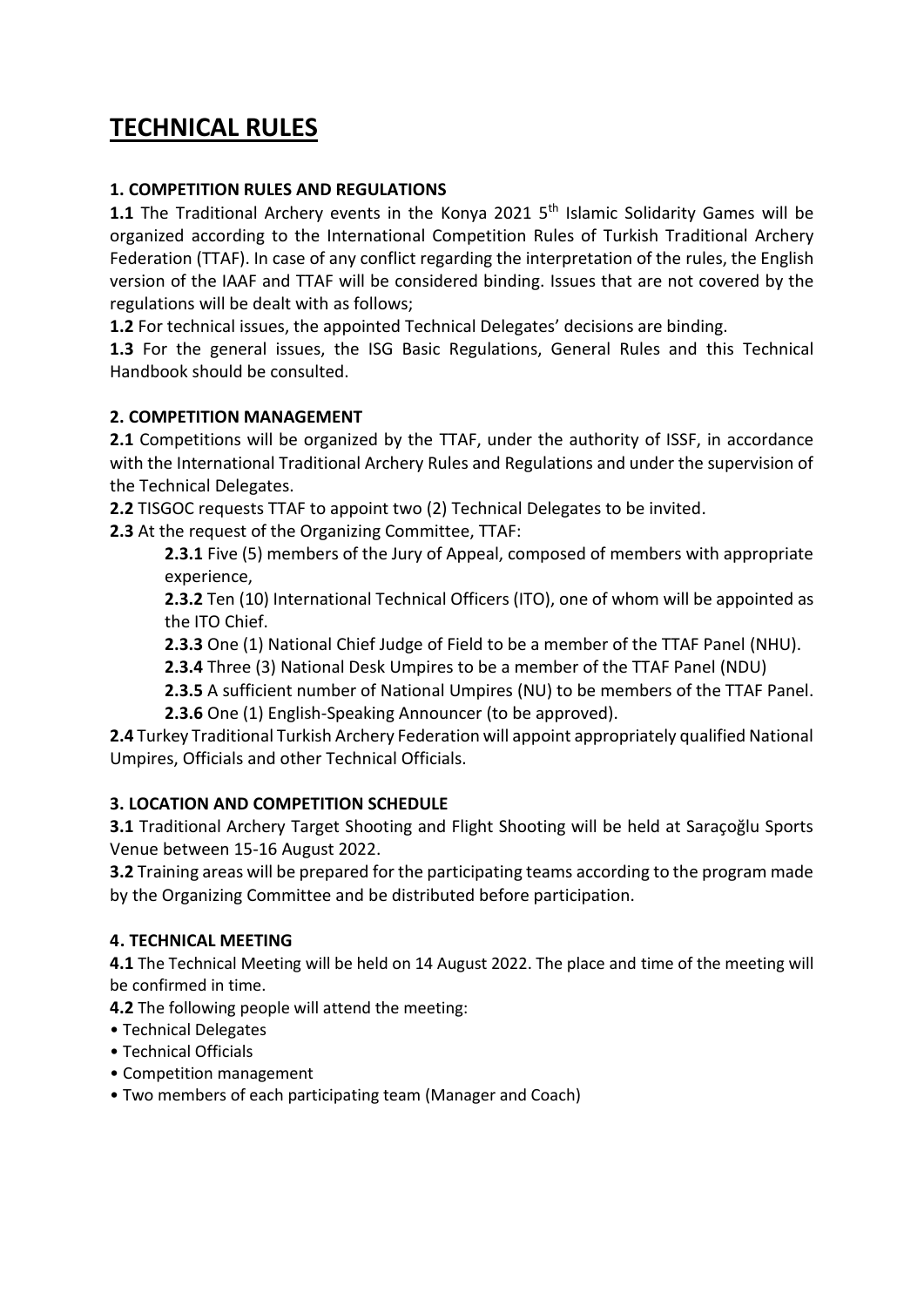## **TECHNICAL RULES**

#### **1. COMPETITION RULES AND REGULATIONS**

**1.1** The Traditional Archery events in the Konya 2021 5<sup>th</sup> Islamic Solidarity Games will be organized according to the International Competition Rules of Turkish Traditional Archery Federation (TTAF). In case of any conflict regarding the interpretation of the rules, the English version of the IAAF and TTAF will be considered binding. Issues that are not covered by the regulations will be dealt with as follows;

**1.2** For technical issues, the appointed Technical Delegates' decisions are binding.

**1.3** For the general issues, the ISG Basic Regulations, General Rules and this Technical Handbook should be consulted.

#### **2. COMPETITION MANAGEMENT**

**2.1** Competitions will be organized by the TTAF, under the authority of ISSF, in accordance with the International Traditional Archery Rules and Regulations and under the supervision of the Technical Delegates.

**2.2** TISGOC requests TTAF to appoint two (2) Technical Delegates to be invited.

**2.3** At the request of the Organizing Committee, TTAF:

**2.3.1** Five (5) members of the Jury of Appeal, composed of members with appropriate experience,

**2.3.2** Ten (10) International Technical Officers (ITO), one of whom will be appointed as the ITO Chief.

**2.3.3** One (1) National Chief Judge of Field to be a member of the TTAF Panel (NHU).

**2.3.4** Three (3) National Desk Umpires to be a member of the TTAF Panel (NDU)

- **2.3.5** A sufficient number of National Umpires (NU) to be members of the TTAF Panel.
- **2.3.6** One (1) English-Speaking Announcer (to be approved).

**2.4** Turkey Traditional Turkish Archery Federation will appoint appropriately qualified National Umpires, Officials and other Technical Officials.

#### **3. LOCATION AND COMPETITION SCHEDULE**

**3.1** Traditional Archery Target Shooting and Flight Shooting will be held at Saraçoğlu Sports Venue between 15-16 August 2022.

**3.2** Training areas will be prepared for the participating teams according to the program made by the Organizing Committee and be distributed before participation.

#### **4. TECHNICAL MEETING**

**4.1** The Technical Meeting will be held on 14 August 2022. The place and time of the meeting will be confirmed in time.

**4.2** The following people will attend the meeting:

- Technical Delegates
- Technical Officials
- Competition management
- Two members of each participating team (Manager and Coach)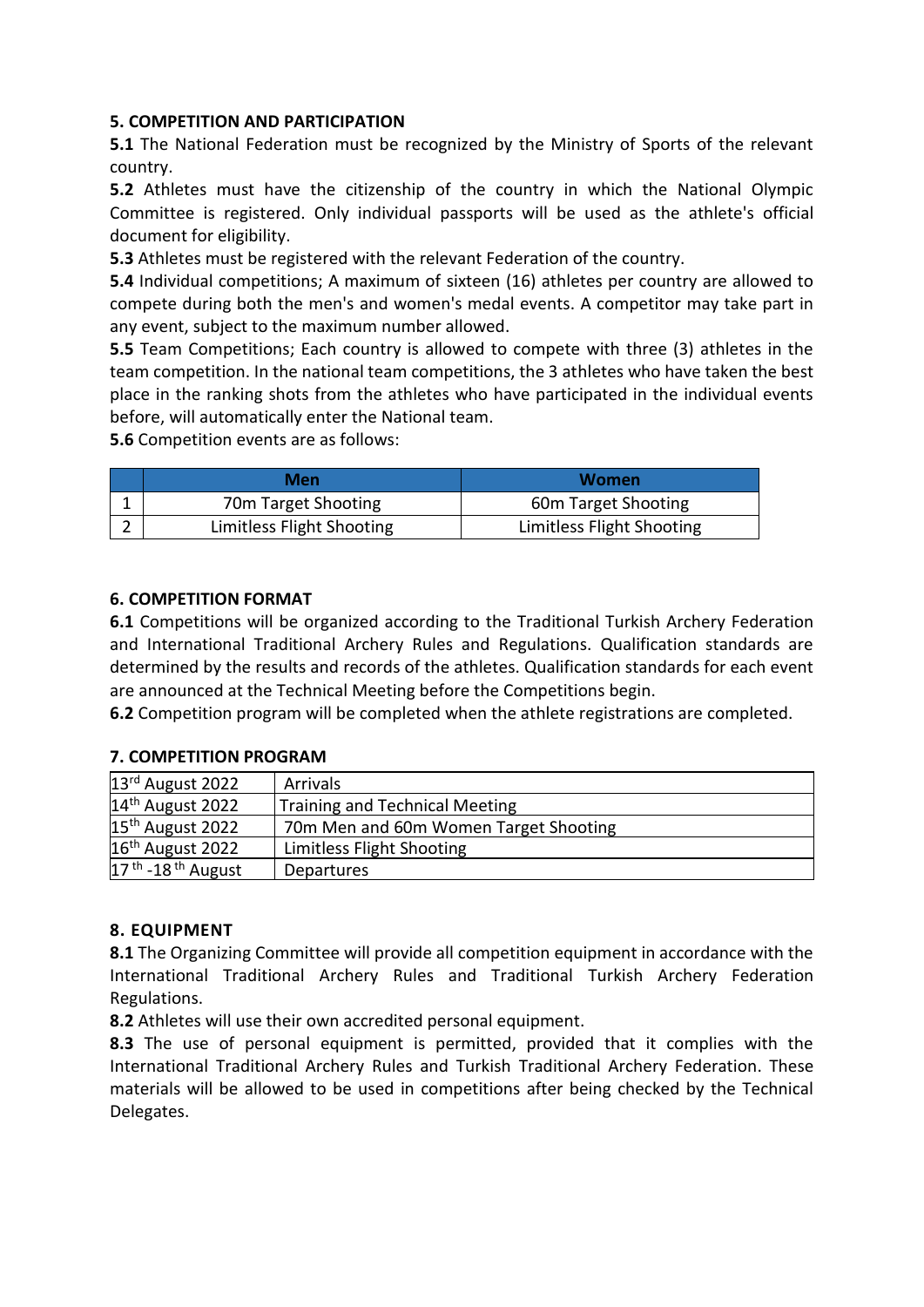#### **5. COMPETITION AND PARTICIPATION**

**5.1** The National Federation must be recognized by the Ministry of Sports of the relevant country.

**5.2** Athletes must have the citizenship of the country in which the National Olympic Committee is registered. Only individual passports will be used as the athlete's official document for eligibility.

**5.3** Athletes must be registered with the relevant Federation of the country.

**5.4** Individual competitions; A maximum of sixteen (16) athletes per country are allowed to compete during both the men's and women's medal events. A competitor may take part in any event, subject to the maximum number allowed.

**5.5** Team Competitions; Each country is allowed to compete with three (3) athletes in the team competition. In the national team competitions, the 3 athletes who have taken the best place in the ranking shots from the athletes who have participated in the individual events before, will automatically enter the National team.

**5.6** Competition events are as follows:

| Men                       | Women                     |
|---------------------------|---------------------------|
| 70m Target Shooting       | 60m Target Shooting       |
| Limitless Flight Shooting | Limitless Flight Shooting |

#### **6. COMPETITION FORMAT**

**6.1** Competitions will be organized according to the Traditional Turkish Archery Federation and International Traditional Archery Rules and Regulations. Qualification standards are determined by the results and records of the athletes. Qualification standards for each event are announced at the Technical Meeting before the Competitions begin.

**6.2** Competition program will be completed when the athlete registrations are completed.

#### **7. COMPETITION PROGRAM**

| $13rd$ August 2022              | Arrivals                              |
|---------------------------------|---------------------------------------|
| 14 <sup>th</sup> August 2022    | <b>Training and Technical Meeting</b> |
| 15 <sup>th</sup> August 2022    | 70m Men and 60m Women Target Shooting |
| 16 <sup>th</sup> August 2022    | Limitless Flight Shooting             |
| $17th$ -18 <sup>th</sup> August | Departures                            |

#### **8. EQUIPMENT**

**8.1** The Organizing Committee will provide all competition equipment in accordance with the International Traditional Archery Rules and Traditional Turkish Archery Federation Regulations.

**8.2** Athletes will use their own accredited personal equipment.

**8.3** The use of personal equipment is permitted, provided that it complies with the International Traditional Archery Rules and Turkish Traditional Archery Federation. These materials will be allowed to be used in competitions after being checked by the Technical Delegates.